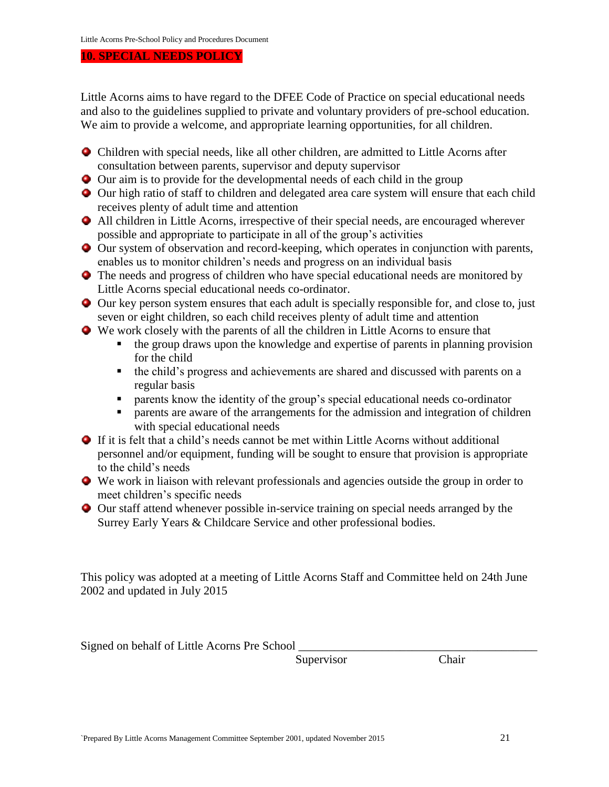## **10. SPECIAL NEEDS POLICY**

Little Acorns aims to have regard to the DFEE Code of Practice on special educational needs and also to the guidelines supplied to private and voluntary providers of pre-school education. We aim to provide a welcome, and appropriate learning opportunities, for all children.

- Children with special needs, like all other children, are admitted to Little Acorns after consultation between parents, supervisor and deputy supervisor
- Our aim is to provide for the developmental needs of each child in the group
- Our high ratio of staff to children and delegated area care system will ensure that each child receives plenty of adult time and attention
- All children in Little Acorns, irrespective of their special needs, are encouraged wherever possible and appropriate to participate in all of the group's activities
- Our system of observation and record-keeping, which operates in conjunction with parents, enables us to monitor children's needs and progress on an individual basis
- The needs and progress of children who have special educational needs are monitored by Little Acorns special educational needs co-ordinator.
- Our key person system ensures that each adult is specially responsible for, and close to, just seven or eight children, so each child receives plenty of adult time and attention
- We work closely with the parents of all the children in Little Acorns to ensure that
	- the group draws upon the knowledge and expertise of parents in planning provision for the child
	- the child's progress and achievements are shared and discussed with parents on a regular basis
	- parents know the identity of the group's special educational needs co-ordinator
	- parents are aware of the arrangements for the admission and integration of children with special educational needs
- If it is felt that a child's needs cannot be met within Little Acorns without additional personnel and/or equipment, funding will be sought to ensure that provision is appropriate to the child's needs
- We work in liaison with relevant professionals and agencies outside the group in order to meet children's specific needs
- Our staff attend whenever possible in-service training on special needs arranged by the Surrey Early Years & Childcare Service and other professional bodies.

This policy was adopted at a meeting of Little Acorns Staff and Committee held on 24th June 2002 and updated in July 2015

Signed on behalf of Little Acorns Pre School

Supervisor Chair